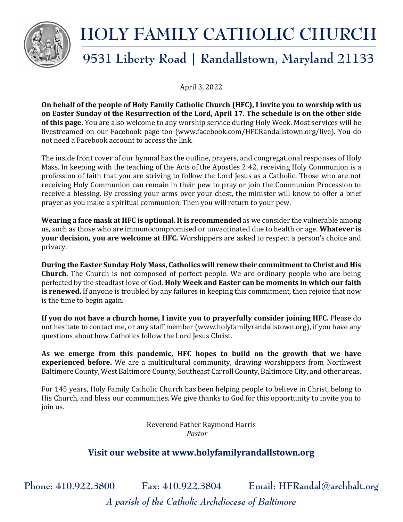

#### **HOLY FAMILY CATHOLIC CHURCH \_\_\_\_\_\_\_\_\_\_\_\_\_\_\_\_\_\_\_\_\_\_\_\_\_\_\_\_\_\_\_\_\_\_\_\_\_\_\_\_\_\_\_\_\_\_\_\_\_\_\_\_\_\_\_\_\_\_\_\_\_\_\_\_\_\_\_\_\_\_\_\_\_\_\_\_\_\_\_\_\_\_\_\_\_\_\_\_\_\_\_\_\_\_\_\_\_\_\_\_\_\_\_\_\_\_\_\_\_\_\_\_\_\_\_\_\_\_\_\_\_\_\_\_\_\_\_\_ \_\_\_\_\_\_\_\_\_\_\_\_\_\_\_\_\_\_\_\_\_\_\_\_\_\_\_\_\_\_\_\_\_\_\_\_\_\_\_\_\_\_\_\_\_\_\_\_\_\_\_\_\_\_\_\_\_\_\_\_\_\_\_\_\_\_\_\_\_\_\_\_\_\_\_\_\_\_\_\_\_\_\_\_\_\_\_\_\_\_\_\_\_\_\_\_\_\_\_\_\_\_\_\_\_\_\_\_\_\_\_\_\_\_\_\_\_\_\_\_\_\_\_\_\_\_\_\_\_\_\_\_\_\_\_\_\_\_\_\_\_**

# **9531 Liberty Road | Randallstown, Maryland 21133**

April 3, 2022

**On behalf of the people of Holy Family Catholic Church (HFC), I invite you to worship with us on Easter Sunday of the Resurrection of the Lord, April 17. The schedule is on the other side of this page.** You are also welcome to any worship service during Holy Week. Most services will be livestreamed on our Facebook page too (www.facebook.com/HFCRandallstown.org/live). You do not need a Facebook account to access the link.

The inside front cover of our hymnal has the outline, prayers, and congregational responses of Holy Mass. In keeping with the teaching of the Acts of the Apostles 2:42, receiving Holy Communion is a profession of faith that you are striving to follow the Lord Jesus as a Catholic. Those who are not receiving Holy Communion can remain in their pew to pray or join the Communion Procession to receive a blessing. By crossing your arms over your chest, the minister will know to offer a brief prayer as you make a spiritual communion. Then you will return to your pew.

**Wearing a face mask at HFC is optional. It is recommended** as we consider the vulnerable among us, such as those who are immunocompromised or unvaccinated due to health or age. **Whatever is your decision, you are welcome at HFC.** Worshippers are asked to respect a person's choice and privacy.

**During the Easter Sunday Holy Mass, Catholics will renew their commitment to Christ and His Church.** The Church is not composed of perfect people. We are ordinary people who are being perfected by the steadfast love of God. **Holy Week and Easter can be moments in which our faith is renewed.** If anyone is troubled by any failures in keeping this commitment, then rejoice that now is the time to begin again.

**If you do not have a church home, I invite you to prayerfully consider joining HFC.** Please do not hesitate to contact me, or any staff member (www.holyfamilyrandallstown.org), if you have any questions about how Catholics follow the Lord Jesus Christ.

**As we emerge from this pandemic, HFC hopes to build on the growth that we have experienced before.** We are a multicultural community, drawing worshippers from Northwest Baltimore County, West Baltimore County, Southeast Carroll County, Baltimore City, and other areas.

For 145 years, Holy Family Catholic Church has been helping people to believe in Christ, belong to His Church, and bless our communities. We give thanks to God for this opportunity to invite you to join us.

> Reverend Father Raymond Harris *Pastor*

### **Visit our website at www.holyfamilyrandallstown.org**

**Phone: 410.922.3800 Fax: 410.922.3804 Email: HFRandal@archbalt.org** *A parish of the Catholic Archdiocese of Baltimore*